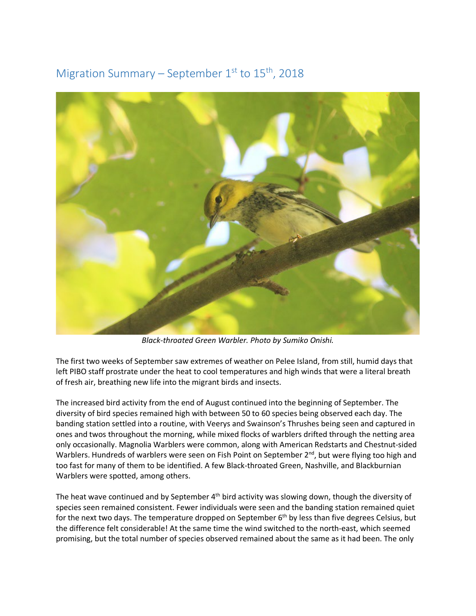## Migration Summary – September  $1<sup>st</sup>$  to  $15<sup>th</sup>$ , 2018



*Black-throated Green Warbler. Photo by Sumiko Onishi.*

The first two weeks of September saw extremes of weather on Pelee Island, from still, humid days that left PIBO staff prostrate under the heat to cool temperatures and high winds that were a literal breath of fresh air, breathing new life into the migrant birds and insects.

The increased bird activity from the end of August continued into the beginning of September. The diversity of bird species remained high with between 50 to 60 species being observed each day. The banding station settled into a routine, with Veerys and Swainson's Thrushes being seen and captured in ones and twos throughout the morning, while mixed flocks of warblers drifted through the netting area only occasionally. Magnolia Warblers were common, along with American Redstarts and Chestnut-sided Warblers. Hundreds of warblers were seen on Fish Point on September 2<sup>nd</sup>, but were flying too high and too fast for many of them to be identified. A few Black-throated Green, Nashville, and Blackburnian Warblers were spotted, among others.

The heat wave continued and by September 4<sup>th</sup> bird activity was slowing down, though the diversity of species seen remained consistent. Fewer individuals were seen and the banding station remained quiet for the next two days. The temperature dropped on September 6<sup>th</sup> by less than five degrees Celsius, but the difference felt considerable! At the same time the wind switched to the north-east, which seemed promising, but the total number of species observed remained about the same as it had been. The only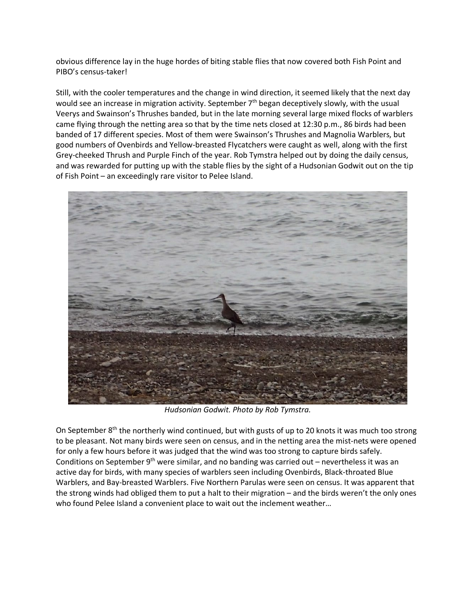obvious difference lay in the huge hordes of biting stable flies that now covered both Fish Point and PIBO's census-taker!

Still, with the cooler temperatures and the change in wind direction, it seemed likely that the next day would see an increase in migration activity. September  $7<sup>th</sup>$  began deceptively slowly, with the usual Veerys and Swainson's Thrushes banded, but in the late morning several large mixed flocks of warblers came flying through the netting area so that by the time nets closed at 12:30 p.m., 86 birds had been banded of 17 different species. Most of them were Swainson's Thrushes and Magnolia Warblers, but good numbers of Ovenbirds and Yellow-breasted Flycatchers were caught as well, along with the first Grey-cheeked Thrush and Purple Finch of the year. Rob Tymstra helped out by doing the daily census, and was rewarded for putting up with the stable flies by the sight of a Hudsonian Godwit out on the tip of Fish Point – an exceedingly rare visitor to Pelee Island.



*Hudsonian Godwit. Photo by Rob Tymstra.*

On September 8<sup>th</sup> the northerly wind continued, but with gusts of up to 20 knots it was much too strong to be pleasant. Not many birds were seen on census, and in the netting area the mist-nets were opened for only a few hours before it was judged that the wind was too strong to capture birds safely. Conditions on September  $9<sup>th</sup>$  were similar, and no banding was carried out – nevertheless it was an active day for birds, with many species of warblers seen including Ovenbirds, Black-throated Blue Warblers, and Bay-breasted Warblers. Five Northern Parulas were seen on census. It was apparent that the strong winds had obliged them to put a halt to their migration – and the birds weren't the only ones who found Pelee Island a convenient place to wait out the inclement weather…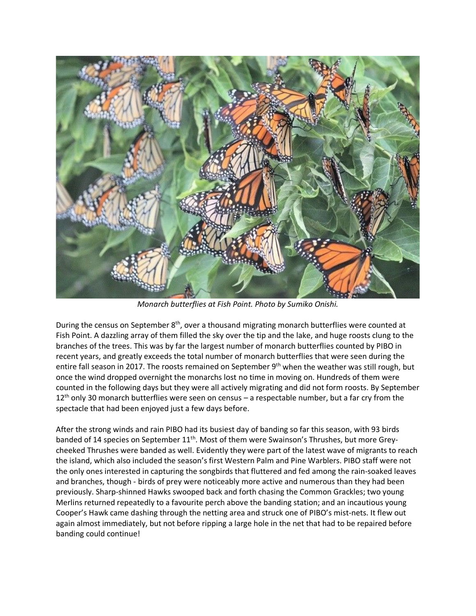

*Monarch butterflies at Fish Point. Photo by Sumiko Onishi.*

During the census on September 8<sup>th</sup>, over a thousand migrating monarch butterflies were counted at Fish Point. A dazzling array of them filled the sky over the tip and the lake, and huge roosts clung to the branches of the trees. This was by far the largest number of monarch butterflies counted by PIBO in recent years, and greatly exceeds the total number of monarch butterflies that were seen during the entire fall season in 2017. The roosts remained on September 9<sup>th</sup> when the weather was still rough, but once the wind dropped overnight the monarchs lost no time in moving on. Hundreds of them were counted in the following days but they were all actively migrating and did not form roosts. By September  $12<sup>th</sup>$  only 30 monarch butterflies were seen on census – a respectable number, but a far cry from the spectacle that had been enjoyed just a few days before.

After the strong winds and rain PIBO had its busiest day of banding so far this season, with 93 birds banded of 14 species on September 11<sup>th</sup>. Most of them were Swainson's Thrushes, but more Greycheeked Thrushes were banded as well. Evidently they were part of the latest wave of migrants to reach the island, which also included the season's first Western Palm and Pine Warblers. PIBO staff were not the only ones interested in capturing the songbirds that fluttered and fed among the rain-soaked leaves and branches, though - birds of prey were noticeably more active and numerous than they had been previously. Sharp-shinned Hawks swooped back and forth chasing the Common Grackles; two young Merlins returned repeatedly to a favourite perch above the banding station; and an incautious young Cooper's Hawk came dashing through the netting area and struck one of PIBO's mist-nets. It flew out again almost immediately, but not before ripping a large hole in the net that had to be repaired before banding could continue!